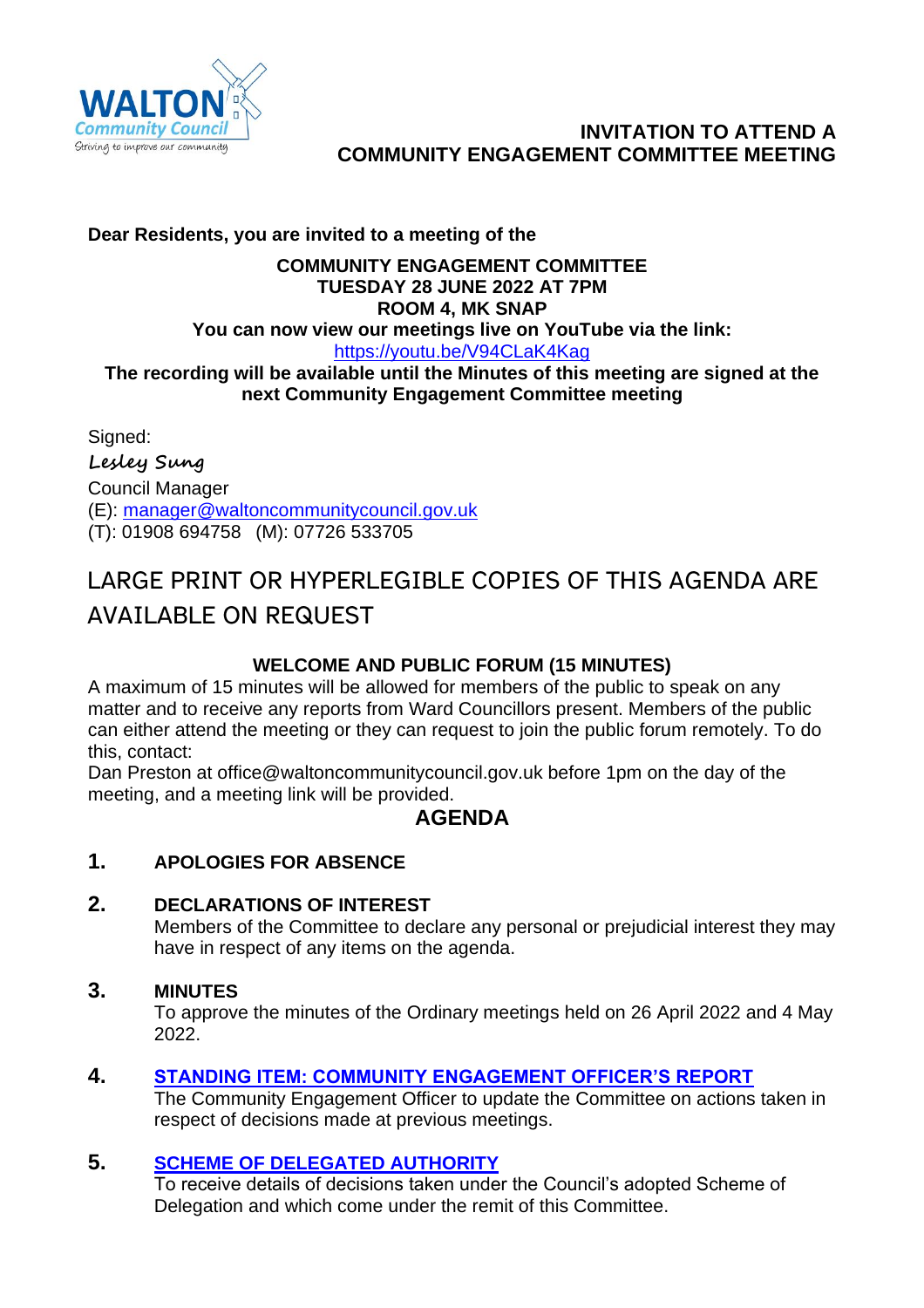

# **INVITATION TO ATTEND A COMMUNITY ENGAGEMENT COMMITTEE MEETING**

# **Dear Residents, you are invited to a meeting of the**

# **COMMUNITY ENGAGEMENT COMMITTEE TUESDAY 28 JUNE 2022 AT 7PM ROOM 4, MK SNAP**

#### **You can now view our meetings live on YouTube via the link:** <https://youtu.be/V94CLaK4Kag>

### **The recording will be available until the Minutes of this meeting are signed at the next Community Engagement Committee meeting**

Signed: **Lesley Sung** Council Manager (E): [manager@waltoncommunitycouncil.gov.uk](mailto:manager@waltoncommunitycouncil.gov.uk) (T): 01908 694758 (M): 07726 533705

# LARGE PRINT OR HYPERLEGIBLE COPIES OF THIS AGENDA ARE **AVAILABLE ON REQUEST**

# **WELCOME AND PUBLIC FORUM (15 MINUTES)**

A maximum of 15 minutes will be allowed for members of the public to speak on any matter and to receive any reports from Ward Councillors present. Members of the public can either attend the meeting or they can request to join the public forum remotely. To do this, contact:

Dan Preston at office@waltoncommunitycouncil.gov.uk before 1pm on the day of the meeting, and a meeting link will be provided.

# **AGENDA**

# **1. APOLOGIES FOR ABSENCE**

# **2. DECLARATIONS OF INTEREST**

Members of the Committee to declare any personal or prejudicial interest they may have in respect of any items on the agenda.

# **3. MINUTES**

To approve the minutes of the Ordinary meetings held on 26 April 2022 and 4 May 2022.

# **4. [STANDING ITEM: COMMUNITY ENGAGEMENT OFFICER'S REPORT](http://www.waltoncommunitycouncil.gov.uk/Sites/2372/_UserFiles/Files/Council%20Section/Supporting%20Documents/Community%20Engagement%20Committee/2022-06-28/2022-06-28_ITEM_04_CE%20OFFICERS%20REPORT.pdf)**

The Community Engagement Officer to update the Committee on actions taken in respect of decisions made at previous meetings.

# **5. [SCHEME OF DELEGATED AUTHORITY](http://www.waltoncommunitycouncil.gov.uk/Sites/2372/_UserFiles/Files/Council%20Section/Supporting%20Documents/Community%20Engagement%20Committee/2022-06-28/2022-06-28_ITEM_05_DELEGATED%20DECISIONS%20TAKEN%20IN%20MAY%20AND%20JUNE%202022.pdf)**

To receive details of decisions taken under the Council's adopted Scheme of Delegation and which come under the remit of this Committee.